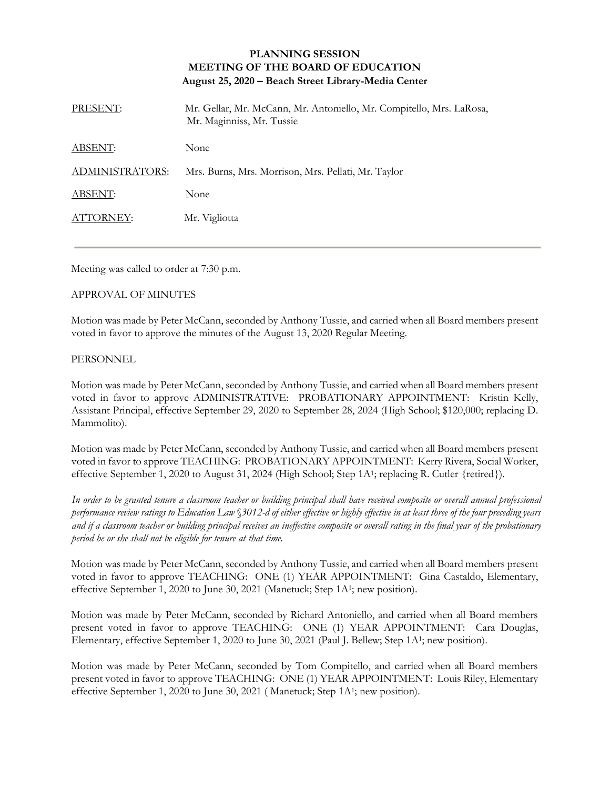## **PLANNING SESSION MEETING OF THE BOARD OF EDUCATION August 25, 2020 – Beach Street Library-Media Center**

| PRESENT:        | Mr. Gellar, Mr. McCann, Mr. Antoniello, Mr. Compitello, Mrs. LaRosa,<br>Mr. Maginniss, Mr. Tussie |
|-----------------|---------------------------------------------------------------------------------------------------|
| ABSENT:         | None                                                                                              |
| ADMINISTRATORS: | Mrs. Burns, Mrs. Morrison, Mrs. Pellati, Mr. Taylor                                               |
| ABSENT:         | None                                                                                              |
| ATTORNEY:       | Mr. Vigliotta                                                                                     |

Meeting was called to order at 7:30 p.m.

## APPROVAL OF MINUTES

Motion was made by Peter McCann, seconded by Anthony Tussie, and carried when all Board members present voted in favor to approve the minutes of the August 13, 2020 Regular Meeting.

## **PERSONNEL**

Motion was made by Peter McCann, seconded by Anthony Tussie, and carried when all Board members present voted in favor to approve ADMINISTRATIVE: PROBATIONARY APPOINTMENT: Kristin Kelly, Assistant Principal, effective September 29, 2020 to September 28, 2024 (High School; \$120,000; replacing D. Mammolito).

Motion was made by Peter McCann, seconded by Anthony Tussie, and carried when all Board members present voted in favor to approve TEACHING: PROBATIONARY APPOINTMENT: Kerry Rivera, Social Worker, effective September 1, 2020 to August 31, 2024 (High School; Step 1A<sup>1</sup>; replacing R. Cutler {retired}).

*In order to be granted tenure a classroom teacher or building principal shall have received composite or overall annual professional performance review ratings to Education Law* §*3012-d of either effective or highly effective in at least three of the four preceding years and if a classroom teacher or building principal receives an ineffective composite or overall rating in the final year of the probationary period he or she shall not be eligible for tenure at that time.*

Motion was made by Peter McCann, seconded by Anthony Tussie, and carried when all Board members present voted in favor to approve TEACHING: ONE (1) YEAR APPOINTMENT: Gina Castaldo, Elementary, effective September 1, 2020 to June 30, 2021 (Manetuck; Step 1A<sup>1</sup>; new position).

Motion was made by Peter McCann, seconded by Richard Antoniello, and carried when all Board members present voted in favor to approve TEACHING: ONE (1) YEAR APPOINTMENT: Cara Douglas, Elementary, effective September 1, 2020 to June 30, 2021 (Paul J. Bellew; Step 1A<sup>1</sup>; new position).

Motion was made by Peter McCann, seconded by Tom Compitello, and carried when all Board members present voted in favor to approve TEACHING: ONE (1) YEAR APPOINTMENT: Louis Riley, Elementary effective September 1, 2020 to June 30, 2021 (Manetuck; Step 1A<sup>1</sup>; new position).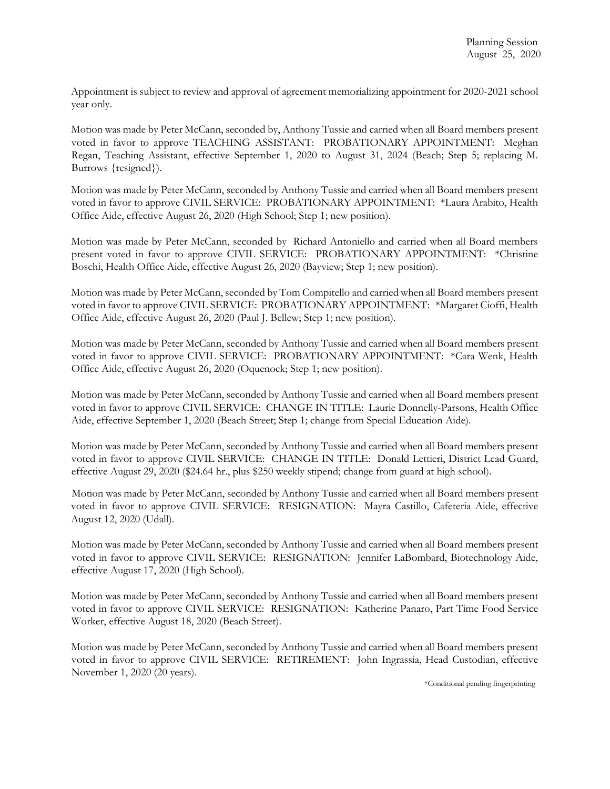Appointment is subject to review and approval of agreement memorializing appointment for 2020-2021 school year only.

Motion was made by Peter McCann, seconded by, Anthony Tussie and carried when all Board members present voted in favor to approve TEACHING ASSISTANT: PROBATIONARY APPOINTMENT: Meghan Regan, Teaching Assistant, effective September 1, 2020 to August 31, 2024 (Beach; Step 5; replacing M. Burrows {resigned}).

Motion was made by Peter McCann, seconded by Anthony Tussie and carried when all Board members present voted in favor to approve CIVIL SERVICE: PROBATIONARY APPOINTMENT: \*Laura Arabito, Health Office Aide, effective August 26, 2020 (High School; Step 1; new position).

Motion was made by Peter McCann, seconded by Richard Antoniello and carried when all Board members present voted in favor to approve CIVIL SERVICE: PROBATIONARY APPOINTMENT: \*Christine Boschi, Health Office Aide, effective August 26, 2020 (Bayview; Step 1; new position).

Motion was made by Peter McCann, seconded by Tom Compitello and carried when all Board members present voted in favor to approve CIVIL SERVICE: PROBATIONARY APPOINTMENT: \*Margaret Cioffi, Health Office Aide, effective August 26, 2020 (Paul J. Bellew; Step 1; new position).

Motion was made by Peter McCann, seconded by Anthony Tussie and carried when all Board members present voted in favor to approve CIVIL SERVICE: PROBATIONARY APPOINTMENT: \*Cara Wenk, Health Office Aide, effective August 26, 2020 (Oquenock; Step 1; new position).

Motion was made by Peter McCann, seconded by Anthony Tussie and carried when all Board members present voted in favor to approve CIVIL SERVICE: CHANGE IN TITLE: Laurie Donnelly-Parsons, Health Office Aide, effective September 1, 2020 (Beach Street; Step 1; change from Special Education Aide).

Motion was made by Peter McCann, seconded by Anthony Tussie and carried when all Board members present voted in favor to approve CIVIL SERVICE: CHANGE IN TITLE: Donald Lettieri, District Lead Guard, effective August 29, 2020 (\$24.64 hr., plus \$250 weekly stipend; change from guard at high school).

Motion was made by Peter McCann, seconded by Anthony Tussie and carried when all Board members present voted in favor to approve CIVIL SERVICE: RESIGNATION: Mayra Castillo, Cafeteria Aide, effective August 12, 2020 (Udall).

Motion was made by Peter McCann, seconded by Anthony Tussie and carried when all Board members present voted in favor to approve CIVIL SERVICE: RESIGNATION: Jennifer LaBombard, Biotechnology Aide, effective August 17, 2020 (High School).

Motion was made by Peter McCann, seconded by Anthony Tussie and carried when all Board members present voted in favor to approve CIVIL SERVICE: RESIGNATION: Katherine Panaro, Part Time Food Service Worker, effective August 18, 2020 (Beach Street).

Motion was made by Peter McCann, seconded by Anthony Tussie and carried when all Board members present voted in favor to approve CIVIL SERVICE: RETIREMENT: John Ingrassia, Head Custodian, effective November 1, 2020 (20 years).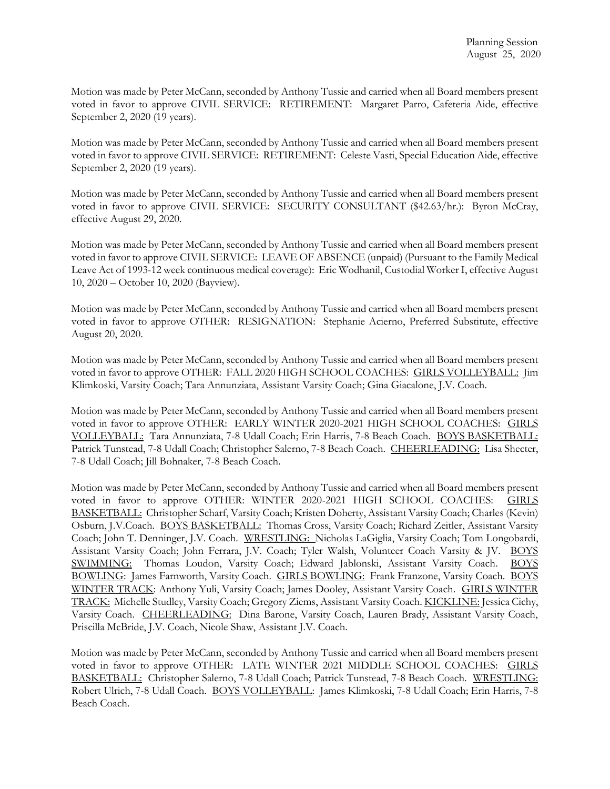Motion was made by Peter McCann, seconded by Anthony Tussie and carried when all Board members present voted in favor to approve CIVIL SERVICE: RETIREMENT: Margaret Parro, Cafeteria Aide, effective September 2, 2020 (19 years).

Motion was made by Peter McCann, seconded by Anthony Tussie and carried when all Board members present voted in favor to approve CIVIL SERVICE: RETIREMENT: Celeste Vasti, Special Education Aide, effective September 2, 2020 (19 years).

Motion was made by Peter McCann, seconded by Anthony Tussie and carried when all Board members present voted in favor to approve CIVIL SERVICE: SECURITY CONSULTANT (\$42.63/hr.): Byron McCray, effective August 29, 2020.

Motion was made by Peter McCann, seconded by Anthony Tussie and carried when all Board members present voted in favor to approve CIVIL SERVICE: LEAVE OF ABSENCE (unpaid) (Pursuant to the Family Medical Leave Act of 1993-12 week continuous medical coverage): Eric Wodhanil, Custodial Worker I, effective August 10, 2020 – October 10, 2020 (Bayview).

Motion was made by Peter McCann, seconded by Anthony Tussie and carried when all Board members present voted in favor to approve OTHER: RESIGNATION: Stephanie Acierno, Preferred Substitute, effective August 20, 2020.

Motion was made by Peter McCann, seconded by Anthony Tussie and carried when all Board members present voted in favor to approve OTHER: FALL 2020 HIGH SCHOOL COACHES: GIRLS VOLLEYBALL: Jim Klimkoski, Varsity Coach; Tara Annunziata, Assistant Varsity Coach; Gina Giacalone, J.V. Coach.

Motion was made by Peter McCann, seconded by Anthony Tussie and carried when all Board members present voted in favor to approve OTHER: EARLY WINTER 2020-2021 HIGH SCHOOL COACHES: GIRLS VOLLEYBALL: Tara Annunziata, 7-8 Udall Coach; Erin Harris, 7-8 Beach Coach. BOYS BASKETBALL: Patrick Tunstead, 7-8 Udall Coach; Christopher Salerno, 7-8 Beach Coach. CHEERLEADING: Lisa Shecter, 7-8 Udall Coach; Jill Bohnaker, 7-8 Beach Coach.

Motion was made by Peter McCann, seconded by Anthony Tussie and carried when all Board members present voted in favor to approve OTHER: WINTER 2020-2021 HIGH SCHOOL COACHES: GIRLS BASKETBALL: Christopher Scharf, Varsity Coach; Kristen Doherty, Assistant Varsity Coach; Charles (Kevin) Osburn, J.V.Coach. BOYS BASKETBALL: Thomas Cross, Varsity Coach; Richard Zeitler, Assistant Varsity Coach; John T. Denninger, J.V. Coach. WRESTLING: Nicholas LaGiglia, Varsity Coach; Tom Longobardi, Assistant Varsity Coach; John Ferrara, J.V. Coach; Tyler Walsh, Volunteer Coach Varsity & JV. BOYS SWIMMING: Thomas Loudon, Varsity Coach; Edward Jablonski, Assistant Varsity Coach. BOYS BOWLING: James Farnworth, Varsity Coach. GIRLS BOWLING: Frank Franzone, Varsity Coach. BOYS WINTER TRACK: Anthony Yuli, Varsity Coach; James Dooley, Assistant Varsity Coach. GIRLS WINTER TRACK: Michelle Studley, Varsity Coach; Gregory Ziems, Assistant Varsity Coach. KICKLINE: Jessica Cichy, Varsity Coach. CHEERLEADING: Dina Barone, Varsity Coach, Lauren Brady, Assistant Varsity Coach, Priscilla McBride, J.V. Coach, Nicole Shaw, Assistant J.V. Coach.

Motion was made by Peter McCann, seconded by Anthony Tussie and carried when all Board members present voted in favor to approve OTHER: LATE WINTER 2021 MIDDLE SCHOOL COACHES: GIRLS BASKETBALL: Christopher Salerno, 7-8 Udall Coach; Patrick Tunstead, 7-8 Beach Coach. WRESTLING: Robert Ulrich, 7-8 Udall Coach. BOYS VOLLEYBALL: James Klimkoski, 7-8 Udall Coach; Erin Harris, 7-8 Beach Coach.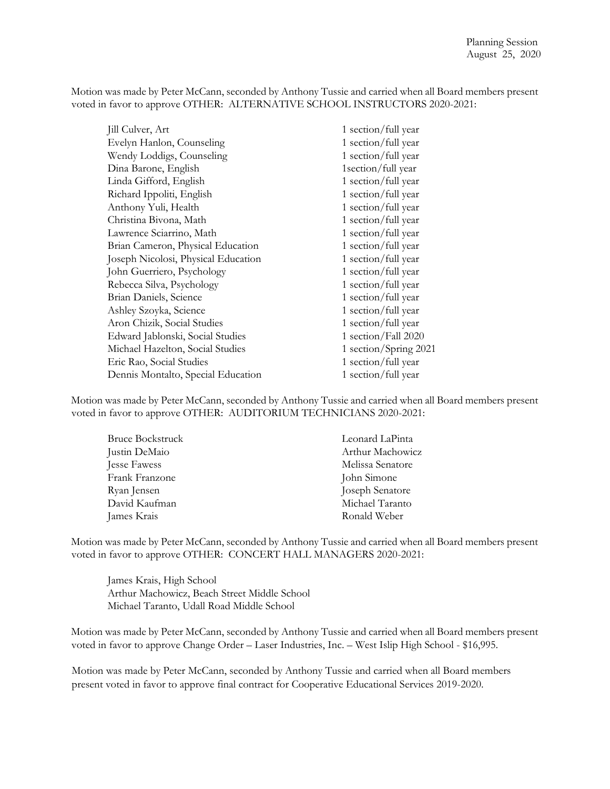Motion was made by Peter McCann, seconded by Anthony Tussie and carried when all Board members present voted in favor to approve OTHER: ALTERNATIVE SCHOOL INSTRUCTORS 2020-2021:

| Jill Culver, Art                    | 1 section/full year   |
|-------------------------------------|-----------------------|
| Evelyn Hanlon, Counseling           | 1 section/full year   |
| Wendy Loddigs, Counseling           | 1 section/full year   |
| Dina Barone, English                | 1section/full year    |
| Linda Gifford, English              | 1 section/full year   |
| Richard Ippoliti, English           | 1 section/full year   |
| Anthony Yuli, Health                | 1 section/full year   |
| Christina Bivona, Math              | 1 section/full year   |
| Lawrence Sciarrino, Math            | 1 section/full year   |
| Brian Cameron, Physical Education   | 1 section/full year   |
| Joseph Nicolosi, Physical Education | 1 section/full year   |
| John Guerriero, Psychology          | 1 section/full year   |
| Rebecca Silva, Psychology           | 1 section/full year   |
| Brian Daniels, Science              | 1 section/full year   |
| Ashley Szoyka, Science              | 1 section/full year   |
| Aron Chizik, Social Studies         | 1 section/full year   |
| Edward Jablonski, Social Studies    | 1 section/Fall 2020   |
| Michael Hazelton, Social Studies    | 1 section/Spring 2021 |
| Eric Rao, Social Studies            | 1 section/full year   |
| Dennis Montalto, Special Education  | 1 section/full year   |

Motion was made by Peter McCann, seconded by Anthony Tussie and carried when all Board members present voted in favor to approve OTHER: AUDITORIUM TECHNICIANS 2020-2021:

| <b>Bruce Bockstruck</b> | Leonard LaPinta  |
|-------------------------|------------------|
| Justin DeMaio           | Arthur Machowicz |
| Jesse Fawess            | Melissa Senatore |
| Frank Franzone          | John Simone      |
| Ryan Jensen             | Joseph Senatore  |
| David Kaufman           | Michael Taranto  |
| James Krais             | Ronald Weber     |

Motion was made by Peter McCann, seconded by Anthony Tussie and carried when all Board members present voted in favor to approve OTHER: CONCERT HALL MANAGERS 2020-2021:

James Krais, High School Arthur Machowicz, Beach Street Middle School Michael Taranto, Udall Road Middle School

Motion was made by Peter McCann, seconded by Anthony Tussie and carried when all Board members present voted in favor to approve Change Order – Laser Industries, Inc. – West Islip High School - \$16,995.

Motion was made by Peter McCann, seconded by Anthony Tussie and carried when all Board members present voted in favor to approve final contract for Cooperative Educational Services 2019-2020.